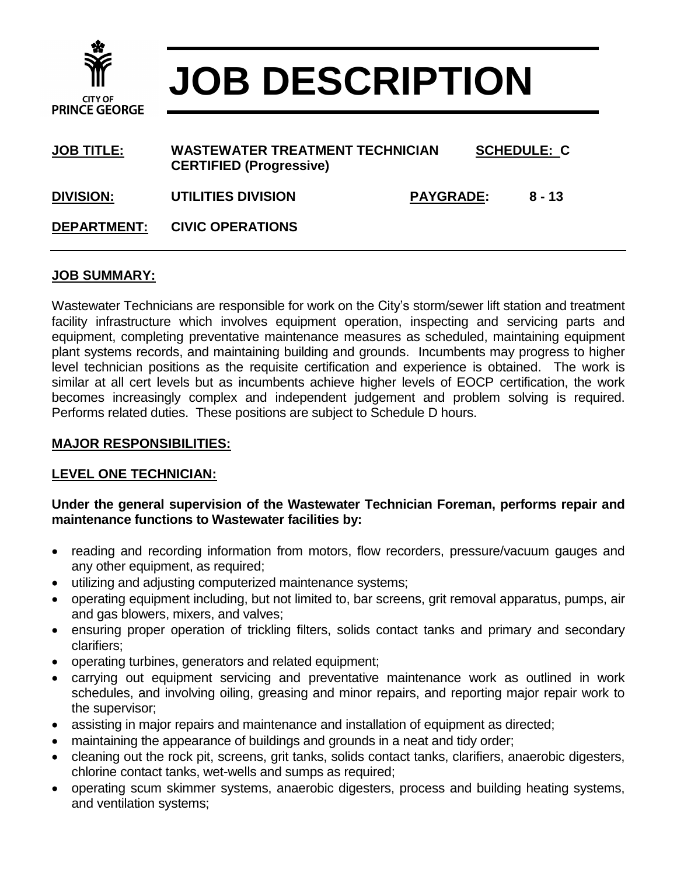

# **JOB DESCRIPTION**

| <b>JOB TITLE:</b>  | <b>WASTEWATER TREATMENT TECHNICIAN</b><br><b>CERTIFIED (Progressive)</b> |                  | <b>SCHEDULE: C</b> |  |
|--------------------|--------------------------------------------------------------------------|------------------|--------------------|--|
| <b>DIVISION:</b>   | <b>UTILITIES DIVISION</b>                                                | <b>PAYGRADE:</b> | $8 - 13$           |  |
| <b>DEPARTMENT:</b> | <b>CIVIC OPERATIONS</b>                                                  |                  |                    |  |

# **JOB SUMMARY:**

Wastewater Technicians are responsible for work on the City's storm/sewer lift station and treatment facility infrastructure which involves equipment operation, inspecting and servicing parts and equipment, completing preventative maintenance measures as scheduled, maintaining equipment plant systems records, and maintaining building and grounds. Incumbents may progress to higher level technician positions as the requisite certification and experience is obtained. The work is similar at all cert levels but as incumbents achieve higher levels of EOCP certification, the work becomes increasingly complex and independent judgement and problem solving is required. Performs related duties. These positions are subject to Schedule D hours.

### **MAJOR RESPONSIBILITIES:**

# **LEVEL ONE TECHNICIAN:**

#### **Under the general supervision of the Wastewater Technician Foreman, performs repair and maintenance functions to Wastewater facilities by:**

- reading and recording information from motors, flow recorders, pressure/vacuum gauges and any other equipment, as required;
- utilizing and adjusting computerized maintenance systems;
- operating equipment including, but not limited to, bar screens, grit removal apparatus, pumps, air and gas blowers, mixers, and valves;
- ensuring proper operation of trickling filters, solids contact tanks and primary and secondary clarifiers;
- operating turbines, generators and related equipment;
- carrying out equipment servicing and preventative maintenance work as outlined in work schedules, and involving oiling, greasing and minor repairs, and reporting major repair work to the supervisor;
- assisting in major repairs and maintenance and installation of equipment as directed;
- maintaining the appearance of buildings and grounds in a neat and tidy order;
- cleaning out the rock pit, screens, grit tanks, solids contact tanks, clarifiers, anaerobic digesters, chlorine contact tanks, wet-wells and sumps as required;
- operating scum skimmer systems, anaerobic digesters, process and building heating systems, and ventilation systems;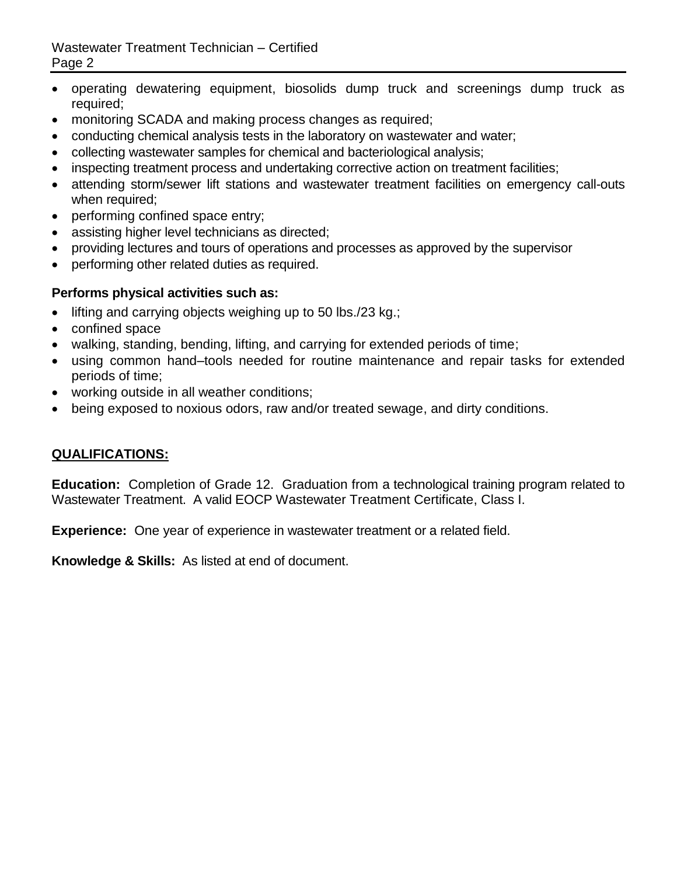- operating dewatering equipment, biosolids dump truck and screenings dump truck as required;
- monitoring SCADA and making process changes as required;
- conducting chemical analysis tests in the laboratory on wastewater and water;
- collecting wastewater samples for chemical and bacteriological analysis;
- inspecting treatment process and undertaking corrective action on treatment facilities;
- attending storm/sewer lift stations and wastewater treatment facilities on emergency call-outs when required;
- performing confined space entry;
- assisting higher level technicians as directed;
- providing lectures and tours of operations and processes as approved by the supervisor
- performing other related duties as required.

# **Performs physical activities such as:**

- $\bullet$  lifting and carrying objects weighing up to 50 lbs./23 kg.;
- confined space
- walking, standing, bending, lifting, and carrying for extended periods of time;
- using common hand–tools needed for routine maintenance and repair tasks for extended periods of time;
- working outside in all weather conditions;
- being exposed to noxious odors, raw and/or treated sewage, and dirty conditions.

# **QUALIFICATIONS:**

**Education:** Completion of Grade 12. Graduation from a technological training program related to Wastewater Treatment. A valid EOCP Wastewater Treatment Certificate, Class I.

**Experience:** One year of experience in wastewater treatment or a related field.

**Knowledge & Skills:** As listed at end of document.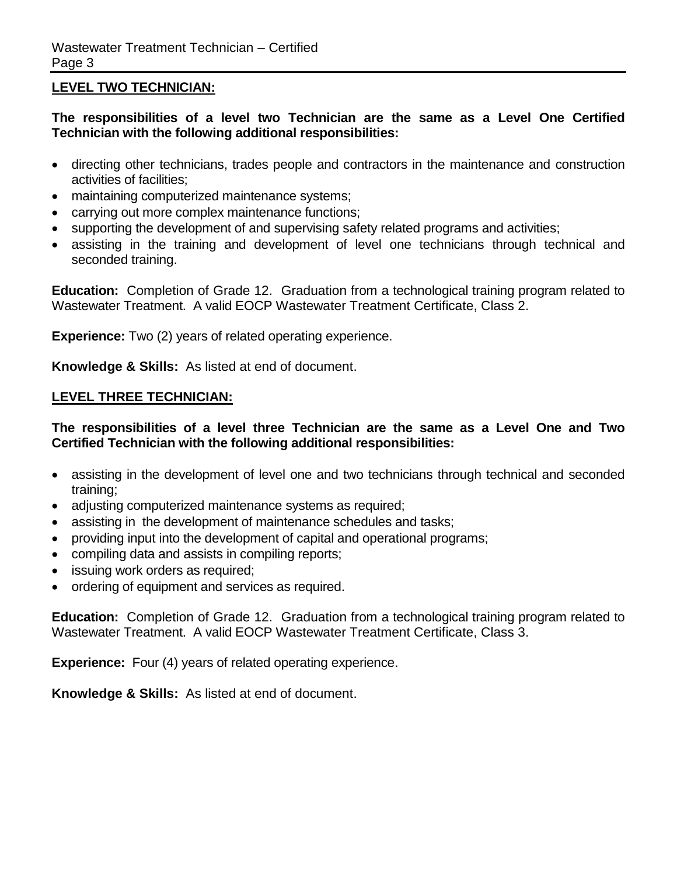## **LEVEL TWO TECHNICIAN:**

**The responsibilities of a level two Technician are the same as a Level One Certified Technician with the following additional responsibilities:**

- directing other technicians, trades people and contractors in the maintenance and construction activities of facilities;
- maintaining computerized maintenance systems;
- carrying out more complex maintenance functions;
- supporting the development of and supervising safety related programs and activities;
- assisting in the training and development of level one technicians through technical and seconded training.

**Education:** Completion of Grade 12. Graduation from a technological training program related to Wastewater Treatment. A valid EOCP Wastewater Treatment Certificate, Class 2.

**Experience:** Two (2) years of related operating experience.

**Knowledge & Skills:** As listed at end of document.

#### **LEVEL THREE TECHNICIAN:**

#### **The responsibilities of a level three Technician are the same as a Level One and Two Certified Technician with the following additional responsibilities:**

- assisting in the development of level one and two technicians through technical and seconded training;
- adjusting computerized maintenance systems as required;
- assisting in the development of maintenance schedules and tasks;
- providing input into the development of capital and operational programs;
- compiling data and assists in compiling reports;
- issuing work orders as required;
- ordering of equipment and services as required.

**Education:** Completion of Grade 12. Graduation from a technological training program related to Wastewater Treatment. A valid EOCP Wastewater Treatment Certificate, Class 3.

**Experience:** Four (4) years of related operating experience.

**Knowledge & Skills:** As listed at end of document.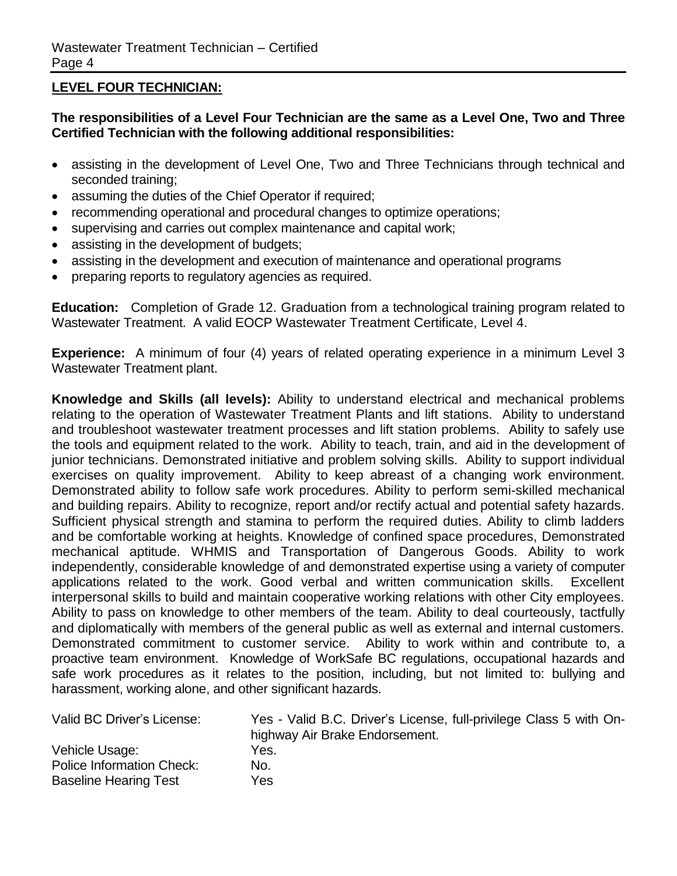## **LEVEL FOUR TECHNICIAN:**

### **The responsibilities of a Level Four Technician are the same as a Level One, Two and Three Certified Technician with the following additional responsibilities:**

- assisting in the development of Level One, Two and Three Technicians through technical and seconded training;
- assuming the duties of the Chief Operator if required;
- recommending operational and procedural changes to optimize operations;
- supervising and carries out complex maintenance and capital work;
- assisting in the development of budgets;
- assisting in the development and execution of maintenance and operational programs
- preparing reports to regulatory agencies as required.

**Education:** Completion of Grade 12. Graduation from a technological training program related to Wastewater Treatment. A valid EOCP Wastewater Treatment Certificate, Level 4.

**Experience:** A minimum of four (4) years of related operating experience in a minimum Level 3 Wastewater Treatment plant.

**Knowledge and Skills (all levels):** Ability to understand electrical and mechanical problems relating to the operation of Wastewater Treatment Plants and lift stations. Ability to understand and troubleshoot wastewater treatment processes and lift station problems. Ability to safely use the tools and equipment related to the work. Ability to teach, train, and aid in the development of junior technicians. Demonstrated initiative and problem solving skills. Ability to support individual exercises on quality improvement. Ability to keep abreast of a changing work environment. Demonstrated ability to follow safe work procedures. Ability to perform semi-skilled mechanical and building repairs. Ability to recognize, report and/or rectify actual and potential safety hazards. Sufficient physical strength and stamina to perform the required duties. Ability to climb ladders and be comfortable working at heights. Knowledge of confined space procedures, Demonstrated mechanical aptitude. WHMIS and Transportation of Dangerous Goods. Ability to work independently, considerable knowledge of and demonstrated expertise using a variety of computer applications related to the work. Good verbal and written communication skills. Excellent interpersonal skills to build and maintain cooperative working relations with other City employees. Ability to pass on knowledge to other members of the team. Ability to deal courteously, tactfully and diplomatically with members of the general public as well as external and internal customers. Demonstrated commitment to customer service. Ability to work within and contribute to, a proactive team environment. Knowledge of WorkSafe BC regulations, occupational hazards and safe work procedures as it relates to the position, including, but not limited to: bullying and harassment, working alone, and other significant hazards.

| Valid BC Driver's License:   | Yes - Valid B.C. Driver's License, full-privilege Class 5 with On- |
|------------------------------|--------------------------------------------------------------------|
|                              | highway Air Brake Endorsement.                                     |
| Vehicle Usage:               | Yes.                                                               |
| Police Information Check:    | No.                                                                |
| <b>Baseline Hearing Test</b> | Yes                                                                |